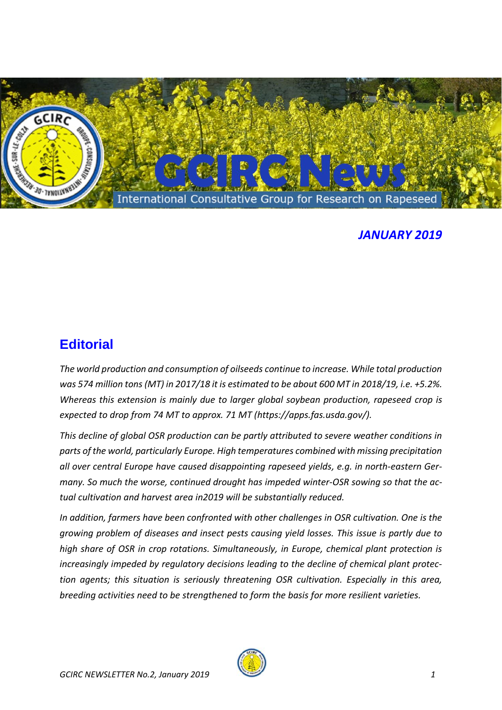

## *JANUARY 2019*

## **Editorial**

*The world production and consumption of oilseeds continue to increase. While total production was 574 million tons (MT) in 2017/18 it is estimated to be about 600 MT in 2018/19, i.e. +5.2%. Whereas this extension is mainly due to larger global soybean production, rapeseed crop is expected to drop from 74 MT to approx. 71 MT (https://apps.fas.usda.gov/).*

*This decline of global OSR production can be partly attributed to severe weather conditions in parts of the world, particularly Europe. High temperatures combined with missing precipitation all over central Europe have caused disappointing rapeseed yields, e.g. in north-eastern Germany. So much the worse, continued drought has impeded winter-OSR sowing so that the actual cultivation and harvest area in2019 will be substantially reduced.*

*In addition, farmers have been confronted with other challenges in OSR cultivation. One is the growing problem of diseases and insect pests causing yield losses. This issue is partly due to high share of OSR in crop rotations. Simultaneously, in Europe, chemical plant protection is increasingly impeded by regulatory decisions leading to the decline of chemical plant protection agents; this situation is seriously threatening OSR cultivation. Especially in this area, breeding activities need to be strengthened to form the basis for more resilient varieties.*

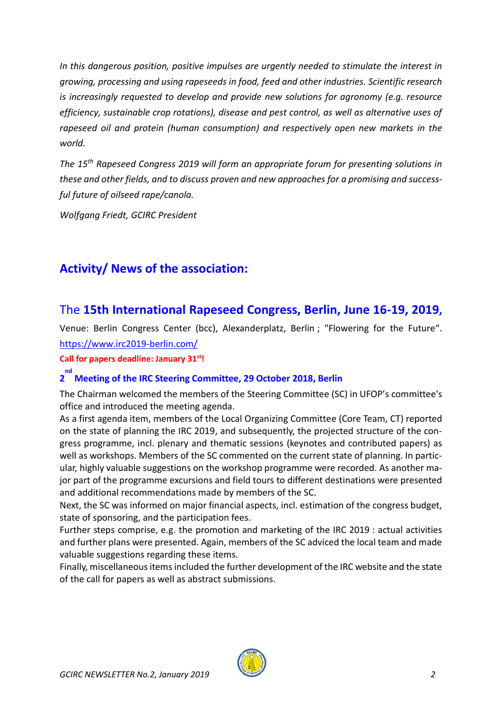*In this dangerous position, positive impulses are urgently needed to stimulate the interest in growing, processing and using rapeseeds in food, feed and other industries. Scientific research is increasingly requested to develop and provide new solutions for agronomy (e.g. resource efficiency, sustainable crop rotations), disease and pest control, as well as alternative uses of rapeseed oil and protein (human consumption) and respectively open new markets in the world.* 

*The 15th Rapeseed Congress 2019 will form an appropriate forum for presenting solutions in these and other fields, and to discuss proven and new approaches for a promising and successful future of oilseed rape/canola.*

*Wolfgang Friedt, GCIRC President*

## **Activity/ News of the association:**

## The **15th International Rapeseed Congress, Berlin, June 16-19, 2019,**

Venue: Berlin Congress Center (bcc), Alexanderplatz, Berlin ; "Flowering for the Future". <https://www.irc2019-berlin.com/>

**Call for papers deadline: January 31st!**

# **2 nd Meeting of the IRC Steering Committee, 29 October 2018, Berlin**

The Chairman welcomed the members of the Steering Committee (SC) in UFOP's committee's office and introduced the meeting agenda.

As a first agenda item, members of the Local Organizing Committee (Core Team, CT) reported on the state of planning the IRC 2019, and subsequently, the projected structure of the congress programme, incl. plenary and thematic sessions (keynotes and contributed papers) as well as workshops. Members of the SC commented on the current state of planning. In particular, highly valuable suggestions on the workshop programme were recorded. As another major part of the programme excursions and field tours to different destinations were presented and additional recommendations made by members of the SC.

Next, the SC was informed on major financial aspects, incl. estimation of the congress budget, state of sponsoring, and the participation fees.

Further steps comprise, e.g. the promotion and marketing of the IRC 2019 : actual activities and further plans were presented. Again, members of the SC adviced the local team and made valuable suggestions regarding these items.

Finally, miscellaneous items included the further development of the IRC website and the state of the call for papers as well as abstract submissions.

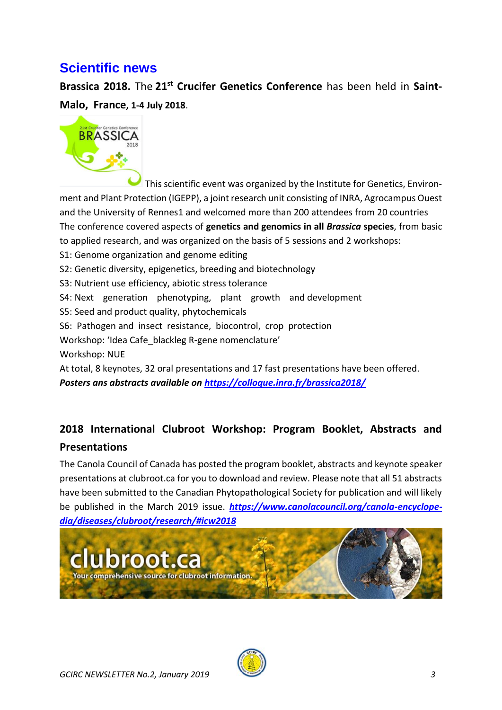# **Scientific news**

**Brassica 2018.** The **21st Crucifer Genetics Conference** has been held in **Saint-Malo, France, 1-4 July 2018**.



This scientific event was organized by the Institute for Genetics, Environment and Plant Protection (IGEPP), a joint research unit consisting of INRA, Agrocampus Ouest and the University of Rennes1 and welcomed more than 200 attendees from 20 countries The conference covered aspects of **genetics and genomics in all** *Brassica* **species**, from basic to applied research, and was organized on the basis of 5 sessions and 2 workshops: S1: Genome organization and genome editing S2: Genetic diversity, epigenetics, breeding and biotechnology S3: Nutrient use efficiency, abiotic stress tolerance S4: Next generation phenotyping, plant growth and development S5: Seed and product quality, phytochemicals S6: Pathogen and insect resistance, biocontrol, crop protection Workshop: 'Idea Cafe\_blackleg R-gene nomenclature' Workshop: NUE At total, 8 keynotes, 32 oral presentations and 17 fast presentations have been offered. *Posters ans abstracts available on<https://colloque.inra.fr/brassica2018/>*

# **2018 International Clubroot Workshop: Program Booklet, Abstracts and Presentations**

The Canola Council of Canada has posted the program booklet, abstracts and keynote speaker presentations at clubroot.ca for you to download and review. Please note that all 51 abstracts have been submitted to the Canadian Phytopathological Society for publication and will likely be published in the March 2019 issue. *[https://www.canolacouncil.org/canola-encyclope](https://www.canolacouncil.org/canola-encyclopedia/diseases/clubroot/research/#icw2018)[dia/diseases/clubroot/research/#icw2018](https://www.canolacouncil.org/canola-encyclopedia/diseases/clubroot/research/#icw2018)*



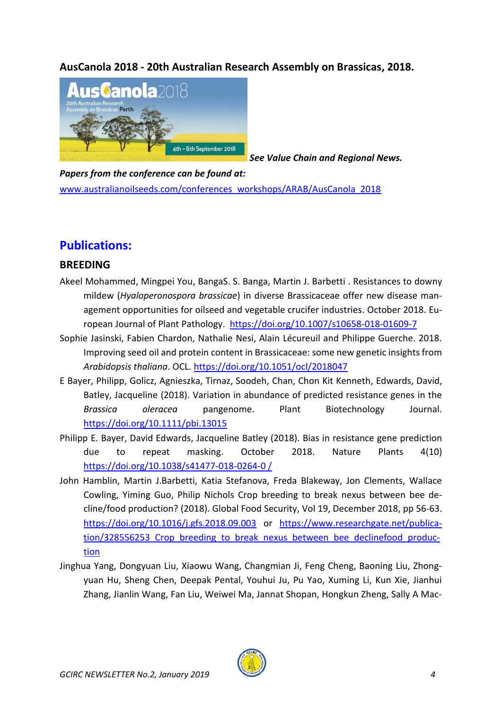**AusCanola 2018 - 20th Australian Research Assembly on Brassicas, 2018.**



*See Value Chain and Regional News.* 

*Papers from the conference can be found at:* [www.australianoilseeds.com/conferences\\_workshops/ARAB/AusCanola\\_2018](http://www.australianoilseeds.com/conferences_workshops/ARAB/AusCanola_2018)

## **Publications:**

### **BREEDING**

- Akeel Mohammed, Mingpei You, BangaS. S. Banga, Martin J. Barbetti . Resistances to downy mildew (*Hyaloperonospora brassicae*) in diverse Brassicaceae offer new disease management opportunities for oilseed and vegetable crucifer industries. October 2018. European Journal of Plant Pathology. <https://doi.org/10.1007/s10658-018-01609-7>
- Sophie Jasinski, Fabien Chardon, Nathalie Nesi, Alain Lécureuil and Philippe Guerche. 2018. Improving seed oil and protein content in Brassicaceae: some new genetic insights from *Arabidopsis thaliana*. OCL.<https://doi.org/10.1051/ocl/2018047>
- E Bayer, Philipp, Golicz, Agnieszka, Tirnaz, Soodeh, Chan, Chon Kit Kenneth, Edwards, David, Batley, Jacqueline (2018). Variation in abundance of predicted resistance genes in the *Brassica oleracea* pangenome. Plant Biotechnology Journal. <https://doi.org/10.1111/pbi.13015>
- Philipp E. Bayer, David Edwards, Jacqueline Batley (2018). Bias in resistance gene prediction due to repeat masking. October 2018. Nature Plants 4(10) [https://doi.org/10.1038/s41477-018-0264-0 /](https://doi.org/10.1038/s41477-018-0264-0%20/)
- John Hamblin, Martin J.Barbetti, Katia Stefanova, Freda Blakeway, Jon Clements, Wallace Cowling, Yiming Guo, Philip Nichols Crop breeding to break nexus between bee decline/food production? (2018). Global Food Security, Vol 19, December 2018, pp 56-63. <https://doi.org/10.1016/j.gfs.2018.09.003> or [https://www.researchgate.net/publica](https://www.researchgate.net/publication/328556253_Crop_breeding_to_break_nexus_between_bee_declinefood_production)tion/328556253 Crop\_breeding\_to\_break\_nexus\_between\_bee\_declinefood\_produc[tion](https://www.researchgate.net/publication/328556253_Crop_breeding_to_break_nexus_between_bee_declinefood_production)
- Jinghua Yang, Dongyuan Liu, Xiaowu Wang, Changmian Ji, Feng Cheng, Baoning Liu, Zhongyuan Hu, Sheng Chen, Deepak Pental, Youhui Ju, Pu Yao, Xuming Li, Kun Xie, Jianhui Zhang, Jianlin Wang, Fan Liu, Weiwei Ma, Jannat Shopan, Hongkun Zheng, Sally A Mac-

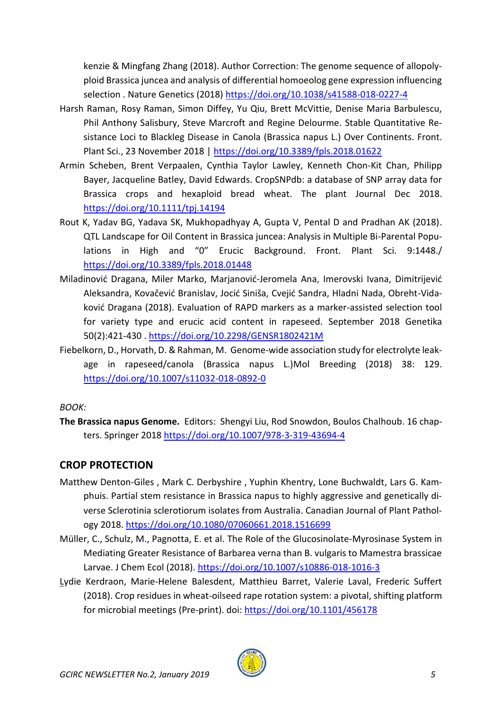kenzie & Mingfang Zhang (2018). Author Correction: The genome sequence of allopolyploid Brassica juncea and analysis of differential homoeolog gene expression influencing selection . Nature Genetics (2018) <https://doi.org/10.1038/s41588-018-0227-4>

- Harsh Raman, Rosy Raman, Simon Diffey, Yu Qiu, Brett McVittie, Denise Maria Barbulescu, Phil Anthony Salisbury, Steve Marcroft and Regine Delourme. Stable Quantitative Resistance Loci to Blackleg Disease in Canola (Brassica napus L.) Over Continents. Front. Plant Sci., 23 November 2018 |<https://doi.org/10.3389/fpls.2018.01622>
- Armin Scheben, Brent Verpaalen, Cynthia Taylor Lawley, Kenneth Chon-Kit Chan, Philipp Bayer, Jacqueline Batley, David Edwards. CropSNPdb: a database of SNP array data for Brassica crops and hexaploid bread wheat. The plant Journal Dec 2018. <https://doi.org/10.1111/tpj.14194>
- Rout K, Yadav BG, Yadava SK, Mukhopadhyay A, Gupta V, Pental D and Pradhan AK (2018). QTL Landscape for Oil Content in Brassica juncea: Analysis in Multiple Bi-Parental Populations in High and "0" Erucic Background. Front. Plant Sci. 9:1448./ <https://doi.org/10.3389/fpls.2018.01448>
- Miladinović Dragana, Miler Marko, Marjanović-Jeromela Ana, Imerovski Ivana, Dimitrijević Aleksandra, Kovačević Branislav, Jocić Siniša, Cvejić Sandra, Hladni Nada, Obreht-Vidaković Dragana (2018). Evaluation of RAPD markers as a marker-assisted selection tool for variety type and erucic acid content in rapeseed. September 2018 Genetika 50(2):421-430 .<https://doi.org/10.2298/GENSR1802421M>
- Fiebelkorn, D., Horvath, D. & Rahman, M. Genome-wide association study for electrolyte leakage in rapeseed/canola (Brassica napus L.)Mol Breeding (2018) 38: 129. <https://doi.org/10.1007/s11032-018-0892-0>

#### *BOOK:*

**The Brassica napus Genome.** Editors: Shengyi Liu, Rod Snowdon, Boulos Chalhoub. 16 chapters. Springer 2018<https://doi.org/10.1007/978-3-319-43694-4>

### **CROP PROTECTION**

- Matthew Denton-Giles , Mark C. Derbyshire , Yuphin Khentry, Lone Buchwaldt, Lars G. Kamphuis. Partial stem resistance in Brassica napus to highly aggressive and genetically diverse Sclerotinia sclerotiorum isolates from Australia. Canadian Journal of Plant Pathology 2018.<https://doi.org/10.1080/07060661.2018.1516699>
- Müller, C., Schulz, M., Pagnotta, E. et al. The Role of the Glucosinolate-Myrosinase System in Mediating Greater Resistance of Barbarea verna than B. vulgaris to Mamestra brassicae Larvae. J Chem Ecol (2018).<https://doi.org/10.1007/s10886-018-1016-3>
- Lydie Kerdraon, Marie-Helene Balesdent, Matthieu Barret, Valerie Laval, Frederic Suffert (2018). Crop residues in wheat-oilseed rape rotation system: a pivotal, shifting platform for microbial meetings (Pre-print). doi:<https://doi.org/10.1101/456178>

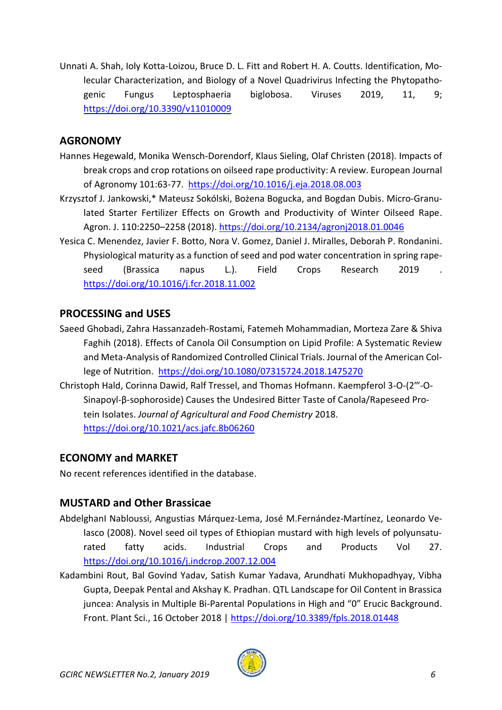Unnati A. Shah, Ioly Kotta-Loizou, Bruce D. L. Fitt and Robert H. A. Coutts. Identification, Molecular Characterization, and Biology of a Novel Quadrivirus Infecting the Phytopathogenic Fungus Leptosphaeria biglobosa. Viruses 2019, 11, 9; <https://doi.org/10.3390/v11010009>

### **AGRONOMY**

- Hannes Hegewald, Monika Wensch-Dorendorf, Klaus Sieling, Olaf Christen (2018). Impacts of break crops and crop rotations on oilseed rape productivity: A review. European Journal of Agronomy 101:63-77. <https://doi.org/10.1016/j.eja.2018.08.003>
- Krzysztof J. Jankowski,\* Mateusz Sokólski, Bożena Bogucka, and Bogdan Dubis. Micro-Granulated Starter Fertilizer Effects on Growth and Productivity of Winter Oilseed Rape. Agron. J. 110:2250–2258 (2018).<https://doi.org/10.2134/agronj2018.01.0046>
- Yesica C. Menendez, Javier F. Botto, Nora V. Gomez, Daniel J. Miralles, Deborah P. Rondanini. Physiological maturity as a function of seed and pod water concentration in spring rapeseed (Brassica napus L.). Field Crops Research 2019 . <https://doi.org/10.1016/j.fcr.2018.11.002>

### **PROCESSING and USES**

- Saeed Ghobadi, Zahra Hassanzadeh-Rostami, Fatemeh Mohammadian, Morteza Zare & Shiva Faghih (2018). Effects of Canola Oil Consumption on Lipid Profile: A Systematic Review and Meta-Analysis of Randomized Controlled Clinical Trials. Journal of the American College of Nutrition. <https://doi.org/10.1080/07315724.2018.1475270>
- Christoph Hald, Corinna Dawid, Ralf Tressel, and Thomas Hofmann. Kaempferol 3-O-(2‴-O-Sinapoyl-β-sophoroside) Causes the Undesired Bitter Taste of Canola/Rapeseed Protein Isolates. *Journal of Agricultural and Food Chemistry* 2018. <https://doi.org/10.1021/acs.jafc.8b06260>

### **ECONOMY and MARKET**

No recent references identified in the database.

### **MUSTARD and Other Brassicae**

- AbdelghanI Nabloussi, Angustias Márquez-Lema, José M.Fernández-Martínez, Leonardo Velasco (2008). Novel seed oil types of Ethiopian mustard with high levels of polyunsaturated fatty acids. Industrial Crops and Products Vol 27. <https://doi.org/10.1016/j.indcrop.2007.12.004>
- Kadambini Rout, Bal Govind Yadav, Satish Kumar Yadava, Arundhati Mukhopadhyay, Vibha Gupta, Deepak Pental and Akshay K. Pradhan. QTL Landscape for Oil Content in Brassica juncea: Analysis in Multiple Bi-Parental Populations in High and "0" Erucic Background. Front. Plant Sci., 16 October 2018 |<https://doi.org/10.3389/fpls.2018.01448>

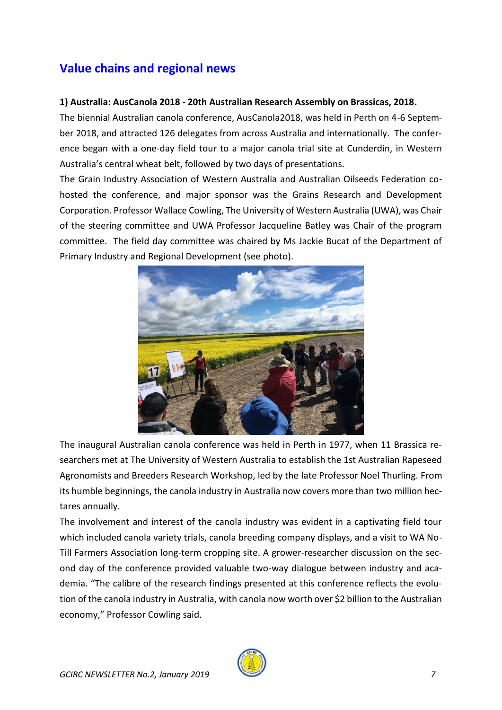## **Value chains and regional news**

#### **1) Australia: AusCanola 2018 - 20th Australian Research Assembly on Brassicas, 2018.**

The biennial Australian canola conference, AusCanola2018, was held in Perth on 4-6 September 2018, and attracted 126 delegates from across Australia and internationally. The conference began with a one-day field tour to a major canola trial site at Cunderdin, in Western Australia's central wheat belt, followed by two days of presentations.

The Grain Industry Association of Western Australia and Australian Oilseeds Federation cohosted the conference, and major sponsor was the Grains Research and Development Corporation. Professor Wallace Cowling, The University of Western Australia (UWA), was Chair of the steering committee and UWA Professor Jacqueline Batley was Chair of the program committee. The field day committee was chaired by Ms Jackie Bucat of the Department of Primary Industry and Regional Development (see photo).



The inaugural Australian canola conference was held in Perth in 1977, when 11 Brassica researchers met at The University of Western Australia to establish the 1st Australian Rapeseed Agronomists and Breeders Research Workshop, led by the late Professor Noel Thurling. From its humble beginnings, the canola industry in Australia now covers more than two million hectares annually.

The involvement and interest of the canola industry was evident in a captivating field tour which included canola variety trials, canola breeding company displays, and a visit to WA No-Till Farmers Association long-term cropping site. A grower-researcher discussion on the second day of the conference provided valuable two-way dialogue between industry and academia. "The calibre of the research findings presented at this conference reflects the evolution of the canola industry in Australia, with canola now worth over \$2 billion to the Australian economy," Professor Cowling said.

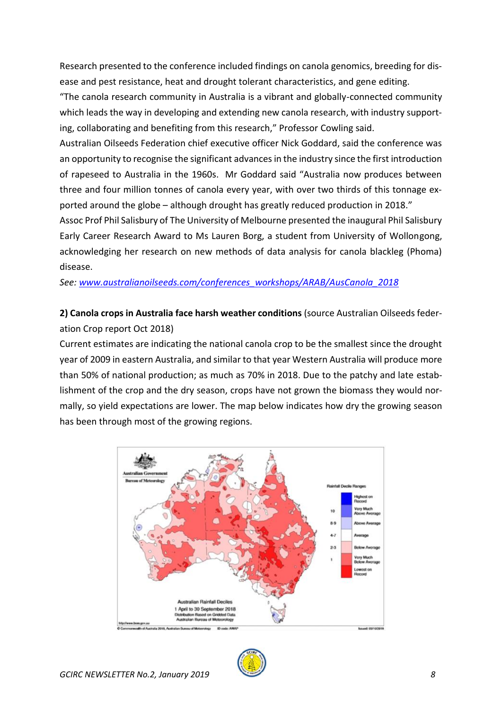Research presented to the conference included findings on canola genomics, breeding for disease and pest resistance, heat and drought tolerant characteristics, and gene editing.

"The canola research community in Australia is a vibrant and globally-connected community which leads the way in developing and extending new canola research, with industry supporting, collaborating and benefiting from this research," Professor Cowling said.

Australian Oilseeds Federation chief executive officer Nick Goddard, said the conference was an opportunity to recognise the significant advances in the industry since the first introduction of rapeseed to Australia in the 1960s. Mr Goddard said "Australia now produces between three and four million tonnes of canola every year, with over two thirds of this tonnage exported around the globe – although drought has greatly reduced production in 2018."

Assoc Prof Phil Salisbury of The University of Melbourne presented the inaugural Phil Salisbury Early Career Research Award to Ms Lauren Borg, a student from University of Wollongong, acknowledging her research on new methods of data analysis for canola blackleg (Phoma) disease.

*See: [www.australianoilseeds.com/conferences\\_workshops/ARAB/AusCanola\\_2018](http://www.australianoilseeds.com/conferences_workshops/ARAB/AusCanola_2018)*

### **2) Canola crops in Australia face harsh weather conditions** (source Australian Oilseeds federation Crop report Oct 2018)

Current estimates are indicating the national canola crop to be the smallest since the drought year of 2009 in eastern Australia, and similar to that year Western Australia will produce more than 50% of national production; as much as 70% in 2018. Due to the patchy and late establishment of the crop and the dry season, crops have not grown the biomass they would normally, so yield expectations are lower. The map below indicates how dry the growing season has been through most of the growing regions.



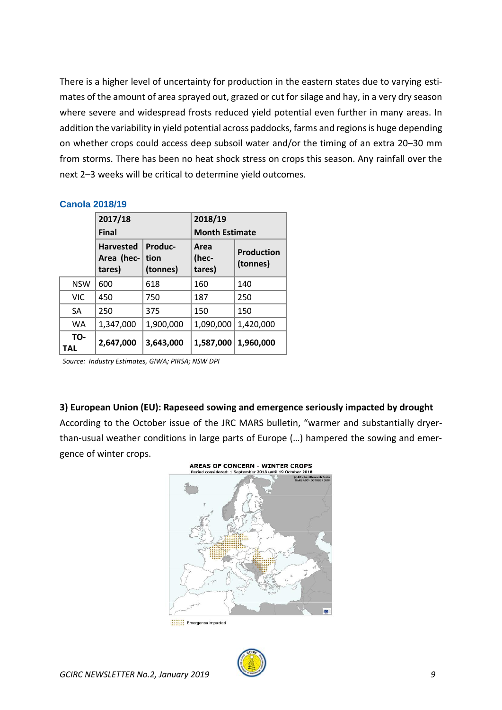There is a higher level of uncertainty for production in the eastern states due to varying estimates of the amount of area sprayed out, grazed or cut for silage and hay, in a very dry season where severe and widespread frosts reduced yield potential even further in many areas. In addition the variability in yield potential across paddocks, farms and regions is huge depending on whether crops could access deep subsoil water and/or the timing of an extra 20–30 mm from storms. There has been no heat shock stress on crops this season. Any rainfall over the next 2–3 weeks will be critical to determine yield outcomes.

|                   | 2017/18<br><b>Final</b>                  |                             | 2018/19                 |                               |
|-------------------|------------------------------------------|-----------------------------|-------------------------|-------------------------------|
|                   |                                          |                             | <b>Month Estimate</b>   |                               |
|                   | <b>Harvested</b><br>Area (hec-<br>tares) | Produc-<br>tion<br>(tonnes) | Area<br>(hec-<br>tares) | <b>Production</b><br>(tonnes) |
| <b>NSW</b>        | 600                                      | 618                         | 160                     | 140                           |
| VIC.              | 450                                      | 750                         | 187                     | 250                           |
| <b>SA</b>         | 250                                      | 375                         | 150                     | 150                           |
| <b>WA</b>         | 1,347,000                                | 1,900,000                   | 1,090,000               | 1,420,000                     |
| TO-<br><b>TAL</b> | 2,647,000                                | 3,643,000                   | 1,587,000               | 1,960,000                     |

#### **Canola 2018/19**

*Source: Industry Estimates, GIWA; PIRSA; NSW DPI*

#### **3) European Union (EU): Rapeseed sowing and emergence seriously impacted by drought**

According to the October issue of the JRC MARS bulletin, "warmer and substantially dryerthan-usual weather conditions in large parts of Europe (…) hampered the sowing and emergence of winter crops.



**Attack** Emergence impacted

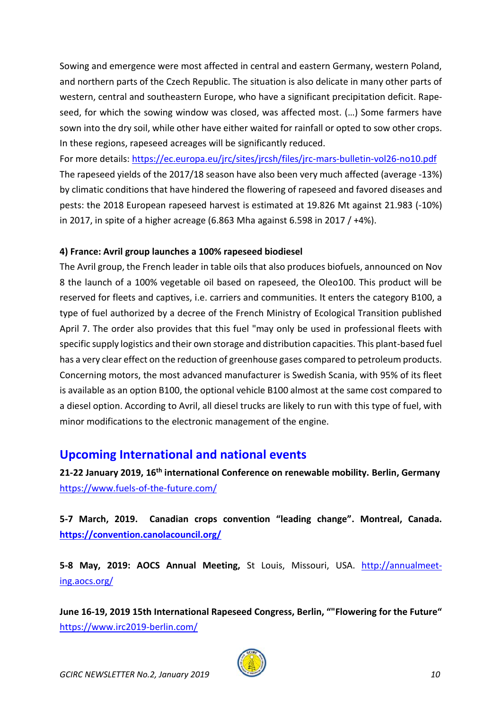Sowing and emergence were most affected in central and eastern Germany, western Poland, and northern parts of the Czech Republic. The situation is also delicate in many other parts of western, central and southeastern Europe, who have a significant precipitation deficit. Rapeseed, for which the sowing window was closed, was affected most. (…) Some farmers have sown into the dry soil, while other have either waited for rainfall or opted to sow other crops. In these regions, rapeseed acreages will be significantly reduced.

For more details:<https://ec.europa.eu/jrc/sites/jrcsh/files/jrc-mars-bulletin-vol26-no10.pdf> The rapeseed yields of the 2017/18 season have also been very much affected (average -13%) by climatic conditions that have hindered the flowering of rapeseed and favored diseases and pests: the 2018 European rapeseed harvest is estimated at 19.826 Mt against 21.983 (-10%) in 2017, in spite of a higher acreage (6.863 Mha against 6.598 in 2017 / +4%).

#### **4) France: Avril group launches a 100% rapeseed biodiesel**

The Avril group, the French leader in table oils that also produces biofuels, announced on Nov 8 the launch of a 100% vegetable oil based on rapeseed, the Oleo100. This product will be reserved for fleets and captives, i.e. carriers and communities. It enters the category B100, a type of fuel authorized by a decree of the French Ministry of Ecological Transition published April 7. The order also provides that this fuel "may only be used in professional fleets with specific supply logistics and their own storage and distribution capacities. This plant-based fuel has a very clear effect on the reduction of greenhouse gases compared to petroleum products. Concerning motors, the most advanced manufacturer is Swedish Scania, with 95% of its fleet is available as an option B100, the optional vehicle B100 almost at the same cost compared to a diesel option. According to Avril, all diesel trucks are likely to run with this type of fuel, with minor modifications to the electronic management of the engine.

## **Upcoming International and national events**

**21-22 January 2019, 16th international Conference on renewable mobility. Berlin, Germany** <https://www.fuels-of-the-future.com/>

**5-7 March, 2019. Canadian crops convention "leading change". Montreal, Canada. <https://convention.canolacouncil.org/>**

5-8 May, 2019: AOCS Annual Meeting, St Louis, Missouri, USA. [http://annualmeet](http://annualmeeting.aocs.org/)[ing.aocs.org/](http://annualmeeting.aocs.org/)

**June 16-19, 2019 15th International Rapeseed Congress, Berlin, ""Flowering for the Future"**  <https://www.irc2019-berlin.com/>